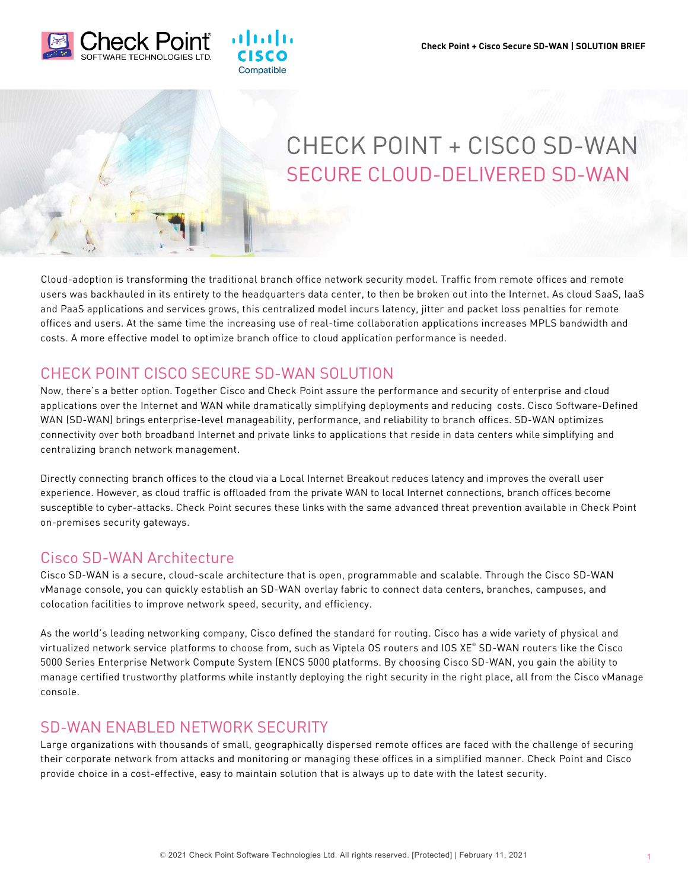



# CHECK POINT + CISCO SD-WAN SECURE CLOUD-DELIVERED SD-WAN

Cloud-adoption is transforming the traditional branch office network security model. Traffic from remote offices and remote users was backhauled in its entirety to the headquarters data center, to then be broken out into the Internet. As cloud SaaS, IaaS and PaaS applications and services grows, this centralized model incurs latency, jitter and packet loss penalties for remote offices and users. At the same time the increasing use of real-time collaboration applications increases MPLS bandwidth and costs. A more effective model to optimize branch office to cloud application performance is needed.

## CHECK POINT CISCO SECURE SD-WAN SOLUTION

almla

Compatible

Now, there's a better option. Together Cisco and Check Point assure the performance and security of enterprise and cloud applications over the Internet and WAN while dramatically simplifying deployments and reducing costs. Cisco Software-Defined WAN (SD-WAN) brings enterprise-level manageability, performance, and reliability to branch offices. SD-WAN optimizes connectivity over both broadband Internet and private links to applications that reside in data centers while simplifying and centralizing branch network management.

Directly connecting branch offices to the cloud via a Local Internet Breakout reduces latency and improves the overall user experience. However, as cloud traffic is offloaded from the private WAN to local Internet connections, branch offices become susceptible to cyber-attacks. Check Point secures these links with the same advanced threat prevention available in Check Point on-premises security gateways.

#### Cisco SD-WAN Architecture

Cisco SD-WAN is a secure, cloud-scale architecture that is open, programmable and scalable. Through the Cisco SD-WAN vManage console, you can quickly establish an SD-WAN overlay fabric to connect data centers, branches, campuses, and colocation facilities to improve network speed, security, and efficiency.

As the world's leading networking company, Cisco defined the standard for routing. Cisco has a wide variety of physical and virtualized network service platforms to choose from, such as Viptela OS routers and IOS XE® SD-WAN routers like the Cisco 5000 Series Enterprise Network Compute System (ENCS 5000 platforms. By choosing Cisco SD-WAN, you gain the ability to manage certified trustworthy platforms while instantly deploying the right security in the right place, all from the Cisco vManage console.

## SD-WAN ENABLED NETWORK SECURITY

Large organizations with thousands of small, geographically dispersed remote offices are faced with the challenge of securing their corporate network from attacks and monitoring or managing these offices in a simplified manner. Check Point and Cisco provide choice in a cost-effective, easy to maintain solution that is always up to date with the latest security.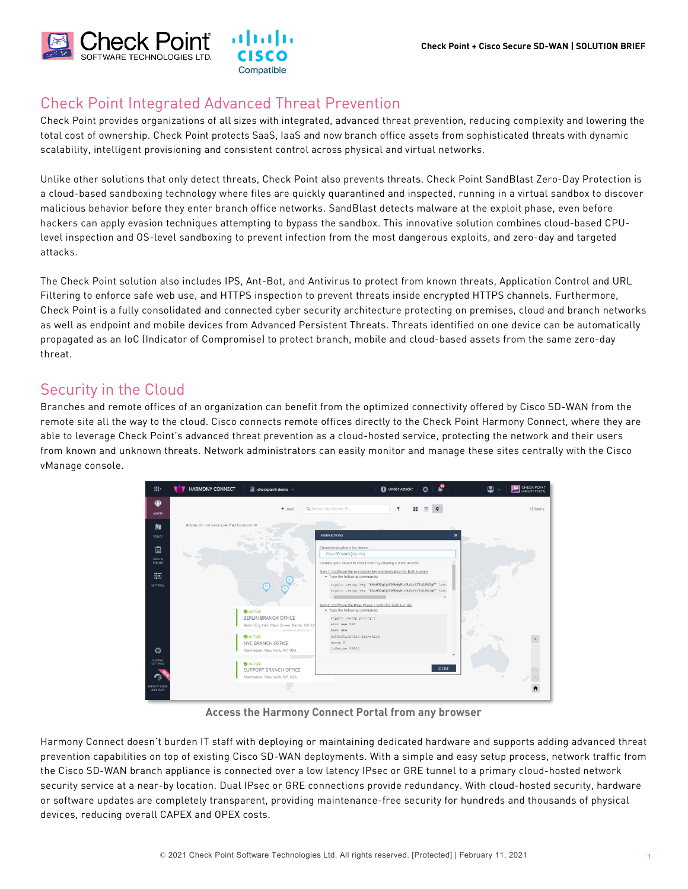

## Check Point Integrated Advanced Threat Prevention

Check Point provides organizations of all sizes with integrated, advanced threat prevention, reducing complexity and lowering the total cost of ownership. Check Point protects SaaS, IaaS and now branch office assets from sophisticated threats with dynamic scalability, intelligent provisioning and consistent control across physical and virtual networks.

Unlike other solutions that only detect threats, Check Point also prevents threats. Check Point SandBlast Zero-Day Protection is a cloud-based sandboxing technology where files are quickly quarantined and inspected, running in a virtual sandbox to discover malicious behavior before they enter branch office networks. SandBlast detects malware at the exploit phase, even before hackers can apply evasion techniques attempting to bypass the sandbox. This innovative solution combines cloud-based CPUlevel inspection and OS-level sandboxing to prevent infection from the most dangerous exploits, and zero-day and targeted attacks.

The Check Point solution also includes IPS, Ant-Bot, and Antivirus to protect from known threats, Application Control and URL Filtering to enforce safe web use, and HTTPS inspection to prevent threats inside encrypted HTTPS channels. Furthermore, Check Point is a fully consolidated and connected cyber security architecture protecting on premises, cloud and branch networks as well as endpoint and mobile devices from Advanced Persistent Threats. Threats identified on one device can be automatically propagated as an IoC (Indicator of Compromise) to protect branch, mobile and cloud-based assets from the same zero-day threat.

## Security in the Cloud

Branches and remote offices of an organization can benefit from the optimized connectivity offered by Cisco SD-WAN from the remote site all the way to the cloud. Cisco connects remote offices directly to the Check Point Harmony Connect, where they are able to leverage Check Point's advanced threat prevention as a cloud-hosted service, protecting the network and their users from known and unknown threats. Network administrators can easily monitor and manage these sites centrally with the Cisco vManage console.



**Access the Harmony Connect Portal from any browser**

Harmony Connect doesn't burden IT staff with deploying or maintaining dedicated hardware and supports adding advanced threat prevention capabilities on top of existing Cisco SD-WAN deployments. With a simple and easy setup process, network traffic from the Cisco SD-WAN branch appliance is connected over a low latency IPsec or GRE tunnel to a primary cloud-hosted network security service at a near-by location. Dual IPsec or GRE connections provide redundancy. With cloud-hosted security, hardware or software updates are completely transparent, providing maintenance-free security for hundreds and thousands of physical devices, reducing overall CAPEX and OPEX costs.